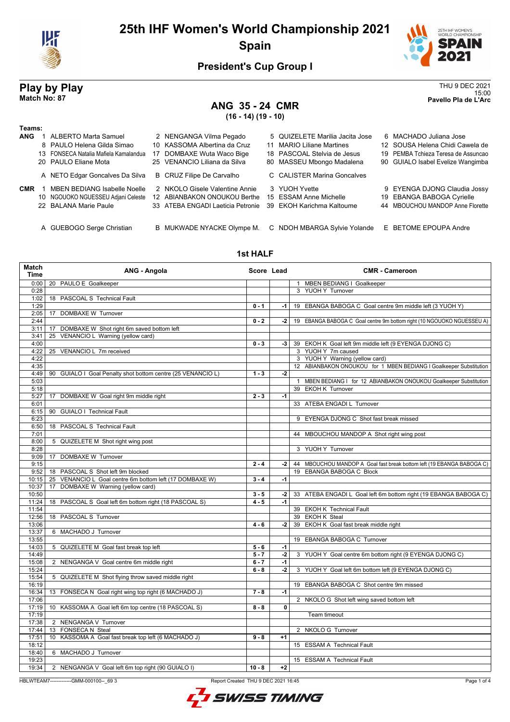

# **25th IHF Women's World Championship 2021 Spain**



### **President's Cup Group I**

### **ANG 35 - 24 CMR (16 - 14) (19 - 10)**

**Play by Play**<br>Match No: 87<br>Pavello Pla de L'Arc 15:00 **Match No: 87 Pavello Pla de L'Arc**

| Teams:     |                                       |                                   |                                 |                                     |
|------------|---------------------------------------|-----------------------------------|---------------------------------|-------------------------------------|
| <b>ANG</b> | <b>ALBERTO Marta Samuel</b>           | 2 NENGANGA Vilma Pegado           | 5 QUIZELETE Marilia Jacita Jose | 6 MACHADO Juliana Jose              |
|            | 8 PAULO Helena Gilda Simao            | 10 KASSOMA Albertina da Cruz      | 11 MARIO Liliane Martines       | 12 SOUSA Helena Chidi Cawela de     |
|            | 13 FONSECA Natalia Mafiela Kamalandua | 17 DOMBAXE Wuta Waco Bige         | 18 PASCOAL Stelvia de Jesus     | 19 PEMBA Tchieza Teresa de Assuncao |
|            | 20 PAULO Eliane Mota                  | 25 VENANCIO Liliana da Silva      | 80 MASSEU Mbongo Madalena       | 90 GUIALO Isabel Evelize Wangimba   |
|            | A NETO Edgar Goncalves Da Silva       | B CRUZ Filipe De Carvalho         | C CALISTER Marina Goncalves     |                                     |
| <b>CMR</b> | <b>MBEN BEDIANG Isabelle Noelle</b>   | 2 NKOLO Gisele Valentine Annie    | 3 YUOH Yvette                   | 9 EYENGA DJONG Claudia Jossy        |
|            | 10 NGOUOKO NGUESSEU Adjani Celeste    | 12 ABIANBAKON ONOUKOU Berthe      | 15 ESSAM Anne Michelle          | 19 EBANGA BABOGA Cyrielle           |
|            | 22 BALANA Marie Paule                 | 33 ATEBA ENGADI Laeticia Petronie | 39 EKOH Karichma Kaltoume       | 44 MBOUCHOU MANDOP Anne Florette    |
|            |                                       |                                   |                                 |                                     |
|            | A GUEBOGO Serge Christian             | B MUKWADE NYACKE Olympe M.        | C NDOH MBARGA Sylvie Yolande    | E BETOME EPOUPA Andre               |

#### **1st HALF**

| Match<br>Time | <b>ANG - Angola</b>                                         | Score Lead |      | <b>CMR - Cameroon</b>                                                  |
|---------------|-------------------------------------------------------------|------------|------|------------------------------------------------------------------------|
| 0:00          | 20 PAULO E Goalkeeper                                       |            |      | 1 MBEN BEDIANG I Goalkeeper                                            |
| 0:28          |                                                             |            |      | 3 YUOH Y Turnover                                                      |
| 1:02          | 18 PASCOAL S Technical Fault                                |            |      |                                                                        |
| 1:29          |                                                             | $0 - 1$    | -1 l | 19 EBANGA BABOGA C Goal centre 9m middle left (3 YUOH Y)               |
| 2:05          | 17 DOMBAXE W Turnover                                       |            |      |                                                                        |
| 2:44          |                                                             | $0 - 2$    | $-2$ | 19 EBANGA BABOGA C Goal centre 9m bottom right (10 NGOUOKO NGUESSEU A) |
| 3:11          | 17 DOMBAXE W Shot right 6m saved bottom left                |            |      |                                                                        |
| 3:41          | 25 VENANCIO L Warning (yellow card)                         |            |      |                                                                        |
| 4:00          |                                                             | $0 - 3$    | $-3$ | 39 EKOH K Goal left 9m middle left (9 EYENGA DJONG C)                  |
| 4:22          | 25 VENANCIO L 7m received                                   |            |      | 3 YUOH Y 7m caused                                                     |
| 4:22          |                                                             |            |      | 3 YUOH Y Warning (yellow card)                                         |
| 4:35          |                                                             |            |      | 12 ABIANBAKON ONOUKOU for 1 MBEN BEDIANG I Goalkeeper Substitution     |
| 4:49          | 90 GUIALO I Goal Penalty shot bottom centre (25 VENANCIO L) | $1 - 3$    | -2   |                                                                        |
| 5:03          |                                                             |            |      | 1 MBEN BEDIANG I for 12 ABIANBAKON ONOUKOU Goalkeeper Substitution     |
| 5:18          |                                                             |            |      | 39 EKOH K Turnover                                                     |
| 5:27          | 17 DOMBAXE W Goal right 9m middle right                     | $2 - 3$    | $-1$ |                                                                        |
| 6:01          |                                                             |            |      | 33 ATEBA ENGADI L Turnover                                             |
| 6:15          | 90 GUIALO I Technical Fault                                 |            |      |                                                                        |
| 6:23          |                                                             |            |      | 9 EYENGA DJONG C Shot fast break missed                                |
| 6:50          | 18 PASCOAL S Technical Fault                                |            |      |                                                                        |
| 7:01          |                                                             |            |      | 44 MBOUCHOU MANDOP A Shot right wing post                              |
| 8:00          | 5 QUIZELETE M Shot right wing post                          |            |      |                                                                        |
| 8:28          |                                                             |            |      | 3 YUOH Y Turnover                                                      |
| 9:09          | 17 DOMBAXE W Turnover                                       |            |      |                                                                        |
| 9:15          |                                                             | $2 - 4$    | $-2$ | 44 MBOUCHOU MANDOP A Goal fast break bottom left (19 EBANGA BABOGA C)  |
| 9:52          | 18 PASCOAL S Shot left 9m blocked                           |            |      | 19 EBANGA BABOGA C Block                                               |
| 10:15         | 25 VENANCIO L Goal centre 6m bottom left (17 DOMBAXE W)     | $3 - 4$    | $-1$ |                                                                        |
| 10:37         | 17 DOMBAXE W Warning (yellow card)                          |            |      |                                                                        |
| 10:50         |                                                             | $3 - 5$    | $-2$ | 33 ATEBA ENGADI L Goal left 6m bottom right (19 EBANGA BABOGA C)       |
| 11:24         | 18 PASCOAL S Goal left 6m bottom right (18 PASCOAL S)       | $4 - 5$    | $-1$ |                                                                        |
| 11:54         |                                                             |            |      | 39 EKOH K Technical Fault                                              |
| 12:56         | 18 PASCOAL S Turnover                                       |            |      | 39 EKOH K Steal                                                        |
| 13:06         |                                                             | $4 - 6$    | -2   | 39 EKOH K Goal fast break middle right                                 |
| 13:37         | 6 MACHADO J Turnover                                        |            |      |                                                                        |
| 13:55         |                                                             |            |      | 19 EBANGA BABOGA C Turnover                                            |
| 14:03         | 5 QUIZELETE M Goal fast break top left                      | $5 - 6$    | $-1$ |                                                                        |
| 14:49         |                                                             | $5 - 7$    | $-2$ | 3 YUOH Y Goal centre 6m bottom right (9 EYENGA DJONG C)                |
| 15:08         | 2 NENGANGA V Goal centre 6m middle right                    | $6 - 7$    | -1   |                                                                        |
| 15:24         |                                                             | $6 - 8$    | $-2$ | 3 YUOH Y Goal left 6m bottom left (9 EYENGA DJONG C)                   |
| 15:54         | 5 QUIZELETE M Shot flying throw saved middle right          |            |      |                                                                        |
| 16:19         |                                                             |            |      | 19 EBANGA BABOGA C Shot centre 9m missed                               |
| 16:34         | 13 FONSECA N Goal right wing top right (6 MACHADO J)        | $7 - 8$    | $-1$ |                                                                        |
| 17:06         |                                                             |            |      | 2 NKOLO G Shot left wing saved bottom left                             |
| 17:19         | 10 KASSOMA A Goal left 6m top centre (18 PASCOAL S)         | $8 - 8$    | 0    |                                                                        |
| 17:19         |                                                             |            |      | Team timeout                                                           |
| 17:38         | 2 NENGANGA V Turnover                                       |            |      |                                                                        |
| 17:44         | 13 FONSECA N Steal                                          |            |      | 2 NKOLO G Turnover                                                     |
| 17:51         | 10 KASSOMA A Goal fast break top left (6 MACHADO J)         | $9 - 8$    | $+1$ |                                                                        |
| 18:12         |                                                             |            |      | 15 ESSAM A Technical Fault                                             |
| 18:40         | 6 MACHADO J Turnover                                        |            |      |                                                                        |
| 19:23         |                                                             |            |      | 15 ESSAM A Technical Fault                                             |
| 19:34         | 2 NENGANGA V Goal left 6m top right (90 GUIALO I)           | $10 - 8$   | $+2$ |                                                                        |
|               |                                                             |            |      |                                                                        |

HBLWTEAM7--------------GMM-000100--\_69 3 Report Created THU 9 DEC 2021 16:45

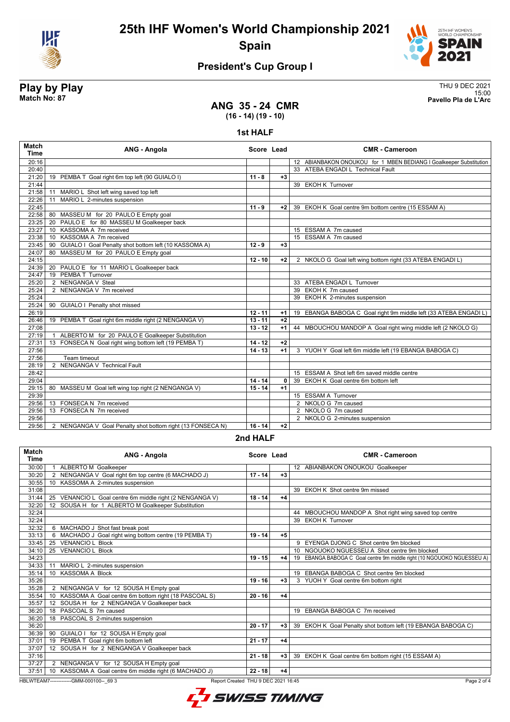

**25th IHF Women's World Championship 2021 Spain**



15:00 **Match No: 87 Pavello Pla de L'Arc**

## **President's Cup Group I**

# **Play by Play**<br>Match No: 87<br>Pavello Pla de L'Arc

**ANG 35 - 24 CMR (16 - 14) (19 - 10)**

**1st HALF**

| <b>Match</b><br><b>Time</b> | <b>ANG - Angola</b>                                         | Score Lead |      | <b>CMR - Cameroon</b>                                              |
|-----------------------------|-------------------------------------------------------------|------------|------|--------------------------------------------------------------------|
| 20:16                       |                                                             |            |      | 12 ABIANBAKON ONOUKOU for 1 MBEN BEDIANG I Goalkeeper Substitution |
| 20:40                       |                                                             |            |      | 33 ATEBA ENGADI L Technical Fault                                  |
| 21:20                       | 19 PEMBA T Goal right 6m top left (90 GUIALO I)             | $11 - 8$   | $+3$ |                                                                    |
| 21:44                       |                                                             |            |      | 39 EKOH K Turnover                                                 |
| 21:58                       | MARIO L Shot left wing saved top left<br>11                 |            |      |                                                                    |
| 22:26                       | MARIO L 2-minutes suspension<br>11                          |            |      |                                                                    |
| 22:45                       |                                                             | $11 - 9$   | $+2$ | 39 EKOH K Goal centre 9m bottom centre (15 ESSAM A)                |
| 22:58                       | 80 MASSEU M for 20 PAULO E Empty goal                       |            |      |                                                                    |
| 23:25                       | PAULO E for 80 MASSEU M Goalkeeper back<br>20               |            |      |                                                                    |
| 23:27                       | KASSOMA A 7m received<br>10 <sup>1</sup>                    |            |      | 15 ESSAM A 7m caused                                               |
| 23:38                       | KASSOMA A 7m received<br>10 <sup>1</sup>                    |            |      | 15 ESSAM A 7m caused                                               |
| 23:45                       | GUIALO I Goal Penalty shot bottom left (10 KASSOMA A)<br>90 | $12 - 9$   | $+3$ |                                                                    |
| 24:07                       | 80 MASSEU M for 20 PAULO E Empty goal                       |            |      |                                                                    |
| 24:15                       |                                                             | $12 - 10$  | $+2$ | 2 NKOLO G Goal left wing bottom right (33 ATEBA ENGADI L)          |
| 24:39                       | 20<br>PAULO E for 11 MARIO L Goalkeeper back                |            |      |                                                                    |
| 24:47                       | 19 PEMBA T Turnover                                         |            |      |                                                                    |
| 25:20                       | 2 NENGANGA V Steal                                          |            |      | 33 ATEBA ENGADI L Turnover                                         |
| 25:24                       | 2 NENGANGA V 7m received                                    |            |      | 39 EKOH K 7m caused                                                |
| 25:24                       |                                                             |            |      | 39 EKOH K 2-minutes suspension                                     |
| 25:24                       | <b>GUIALO I Penalty shot missed</b><br>90                   |            |      |                                                                    |
| 26:19                       |                                                             | $12 - 11$  | $+1$ | 19 EBANGA BABOGA C Goal right 9m middle left (33 ATEBA ENGADI L)   |
| 26:46                       | 19 PEMBA T Goal right 6m middle right (2 NENGANGA V)        | $13 - 11$  | $+2$ |                                                                    |
| 27:08                       |                                                             | $13 - 12$  | $+1$ | 44 MBOUCHOU MANDOP A Goal right wing middle left (2 NKOLO G)       |
| 27:19                       | ALBERTO M for 20 PAULO E Goalkeeper Substitution            |            |      |                                                                    |
| 27:31                       | FONSECA N Goal right wing bottom left (19 PEMBA T)<br>13    | $14 - 12$  | $+2$ |                                                                    |
| 27:56                       |                                                             | $14 - 13$  | $+1$ | 3 YUOH Y Goal left 6m middle left (19 EBANGA BABOGA C)             |
| 27:56                       | <b>Team timeout</b>                                         |            |      |                                                                    |
| 28:19                       | 2 NENGANGA V Technical Fault                                |            |      |                                                                    |
| 28:42                       |                                                             |            |      | 15 ESSAM A Shot left 6m saved middle centre                        |
| 29:04                       |                                                             | $14 - 14$  | 0    | 39 EKOH K Goal centre 6m bottom left                               |
| 29:15                       | MASSEU M Goal left wing top right (2 NENGANGA V)<br>80      | $15 - 14$  | $+1$ |                                                                    |
| 29:39                       |                                                             |            |      | 15 ESSAM A Turnover                                                |
| 29:56                       | FONSECA N 7m received<br>13                                 |            |      | 2 NKOLO G 7m caused                                                |
| 29:56                       | 13 FONSECA N 7m received                                    |            |      | 2 NKOLO G 7m caused                                                |
| 29:56                       |                                                             |            |      | 2 NKOLO G 2-minutes suspension                                     |
| 29:56                       | 2 NENGANGA V Goal Penalty shot bottom right (13 FONSECA N)  | $16 - 14$  | $+2$ |                                                                    |
|                             |                                                             | .          |      |                                                                    |

**2nd HALF**

| <b>Match</b><br>Time | <b>ANG - Angola</b>                                                                            | Score Lead |      | <b>CMR - Cameroon</b>                                                  |  |  |
|----------------------|------------------------------------------------------------------------------------------------|------------|------|------------------------------------------------------------------------|--|--|
| 30:00                | <b>ALBERTO M Goalkeeper</b>                                                                    |            |      | 12 ABIANBAKON ONOUKOU Goalkeeper                                       |  |  |
| 30:20                | 2 NENGANGA V Goal right 6m top centre (6 MACHADO J)                                            | $17 - 14$  | $+3$ |                                                                        |  |  |
| 30:55                | 10 KASSOMA A 2-minutes suspension                                                              |            |      |                                                                        |  |  |
| 31:08                |                                                                                                |            |      | 39 EKOH K Shot centre 9m missed                                        |  |  |
| 31:44                | 25 VENANCIO L Goal centre 6m middle right (2 NENGANGA V)                                       | $18 - 14$  | $+4$ |                                                                        |  |  |
| 32:20                | 12 SOUSA H for 1 ALBERTO M Goalkeeper Substitution                                             |            |      |                                                                        |  |  |
| 32:24                |                                                                                                |            |      | 44 MBOUCHOU MANDOP A Shot right wing saved top centre                  |  |  |
| 32:24                |                                                                                                |            |      | 39 EKOH K Turnover                                                     |  |  |
| 32:32                | 6 MACHADO J Shot fast break post                                                               |            |      |                                                                        |  |  |
| 33:13                | 6 MACHADO J Goal right wing bottom centre (19 PEMBA T)                                         | $19 - 14$  | $+5$ |                                                                        |  |  |
| 33:45                | <b>VENANCIO L Block</b><br>25                                                                  |            |      | 9 EYENGA DJONG C Shot centre 9m blocked                                |  |  |
| 34:10                | <b>VENANCIO L Block</b><br>25                                                                  |            |      | 10 NGOUOKO NGUESSEU A Shot centre 9m blocked                           |  |  |
| 34:23                |                                                                                                | $19 - 15$  | $+4$ | 19 EBANGA BABOGA C Goal centre 9m middle right (10 NGOUOKO NGUESSEU A) |  |  |
| 34:33                | MARIO L 2-minutes suspension<br>11                                                             |            |      |                                                                        |  |  |
| 35:14                | <b>KASSOMA A Block</b><br>10 <sup>1</sup>                                                      |            |      | 19 EBANGA BABOGA C Shot centre 9m blocked                              |  |  |
| 35:26                |                                                                                                | $19 - 16$  | $+3$ | 3 YUOH Y Goal centre 6m bottom right                                   |  |  |
| 35:28                | 2 NENGANGA V for 12 SOUSA H Empty goal                                                         |            |      |                                                                        |  |  |
| 35:54                | KASSOMA A Goal centre 6m bottom right (18 PASCOAL S)<br>10 <sup>1</sup>                        | $20 - 16$  | $+4$ |                                                                        |  |  |
| 35:57                | SOUSA H for 2 NENGANGA V Goalkeeper back<br>12 <sup>12</sup>                                   |            |      |                                                                        |  |  |
| 36:20                | PASCOAL S 7m caused<br>18                                                                      |            |      | 19 EBANGA BABOGA C 7m received                                         |  |  |
| 36:20                | PASCOAL S 2-minutes suspension<br>18                                                           |            |      |                                                                        |  |  |
| 36:20                |                                                                                                | $20 - 17$  | $+3$ | 39 EKOH K Goal Penalty shot bottom left (19 EBANGA BABOGA C)           |  |  |
| 36:39                | 90 GUIALO I for 12 SOUSA H Empty goal                                                          |            |      |                                                                        |  |  |
| 37:01                | 19 PEMBA T Goal right 6m bottom left                                                           | $21 - 17$  | $+4$ |                                                                        |  |  |
| 37:07                | 12 SOUSA H for 2 NENGANGA V Goalkeeper back                                                    |            |      |                                                                        |  |  |
| 37:16                |                                                                                                | $21 - 18$  | $+3$ | 39 EKOH K Goal centre 6m bottom right (15 ESSAM A)                     |  |  |
| 37:27                | 2 NENGANGA V for 12 SOUSA H Empty goal                                                         |            |      |                                                                        |  |  |
| 37:51                | 10 KASSOMA A Goal centre 6m middle right (6 MACHADO J)                                         | $22 - 18$  | $+4$ |                                                                        |  |  |
|                      | HBLWTEAM7--------------GMM-000100-- 69 3<br>Report Created THU 9 DEC 2021 16:45<br>Page 2 of 4 |            |      |                                                                        |  |  |

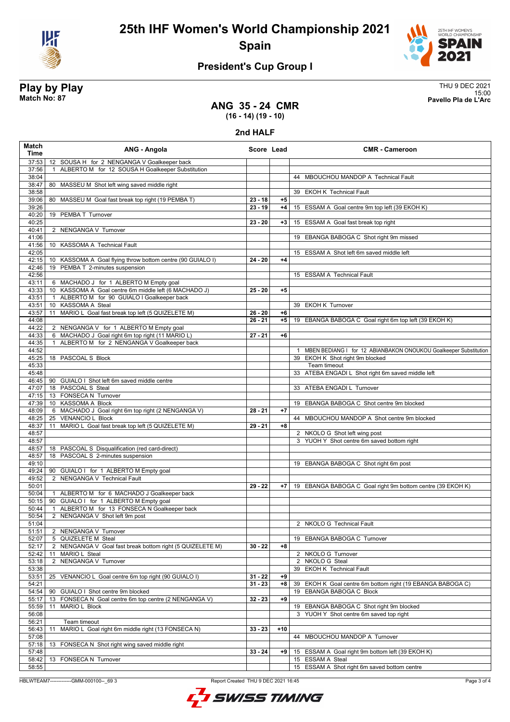



# **President's Cup Group I**

**Play by Play**<br>Match No: 87<br>Pavello Pla de L'Arc 15:00 **Match No: 87 Pavello Pla de L'Arc**

#### **ANG 35 - 24 CMR (16 - 14) (19 - 10)**

#### **2nd HALF**

| Match<br>Time  | ANG - Angola                                                                                      | Score Lead |       | <b>CMR - Cameroon</b>                                                |
|----------------|---------------------------------------------------------------------------------------------------|------------|-------|----------------------------------------------------------------------|
| 37:53          | 12 SOUSA H for 2 NENGANGA V Goalkeeper back                                                       |            |       |                                                                      |
| 37:56          | ALBERTO M for 12 SOUSA H Goalkeeper Substitution                                                  |            |       |                                                                      |
| 38:04          |                                                                                                   |            |       | 44 MBOUCHOU MANDOP A Technical Fault                                 |
| 38:47<br>38:58 | 80 MASSEU M Shot left wing saved middle right                                                     |            |       | 39 EKOH K Technical Fault                                            |
| 39:06          | 80 MASSEU M Goal fast break top right (19 PEMBA T)                                                | $23 - 18$  | $+5$  |                                                                      |
| 39:26          |                                                                                                   | $23 - 19$  | $+4$  | 15 ESSAM A Goal centre 9m top left (39 EKOH K)                       |
| 40:20          | 19 PEMBA T Turnover                                                                               |            |       |                                                                      |
| 40:25          |                                                                                                   | $23 - 20$  | $+3$  | ESSAM A Goal fast break top right<br>15                              |
| 40:41          | 2 NENGANGA V Turnover                                                                             |            |       |                                                                      |
| 41:06          |                                                                                                   |            |       | 19 EBANGA BABOGA C Shot right 9m missed                              |
| 41:56<br>42:05 | 10 KASSOMA A Technical Fault                                                                      |            |       | 15 ESSAM A Shot left 6m saved middle left                            |
| 42:15          | 10 KASSOMA A Goal flying throw bottom centre (90 GUIALO I)                                        | 24 - 20    | $+4$  |                                                                      |
| 42:46          | 19 PEMBA T 2-minutes suspension                                                                   |            |       |                                                                      |
| 42:56          |                                                                                                   |            |       | 15 ESSAM A Technical Fault                                           |
| 43:11          | 6 MACHADO J for 1 ALBERTO M Empty goal                                                            |            |       |                                                                      |
| 43:33          | 10 KASSOMA A Goal centre 6m middle left (6 MACHADO J)                                             | $25 - 20$  | $+5$  |                                                                      |
| 43:51<br>43:51 | ALBERTO M for 90 GUIALO I Goalkeeper back<br>$\overline{1}$<br>10 KASSOMA A Steal                 |            |       | 39 EKOH K Turnover                                                   |
| 43:57          | MARIO L Goal fast break top left (5 QUIZELETE M)<br>11                                            | $26 - 20$  | $+6$  |                                                                      |
| 44:08          |                                                                                                   | $26 - 21$  | $+5$  | 19 EBANGA BABOGA C Goal right 6m top left (39 EKOH K)                |
| 44:22          | 2 NENGANGA V for 1 ALBERTO M Empty goal                                                           |            |       |                                                                      |
| 44:33          | 6 MACHADO J Goal right 6m top right (11 MARIO L)                                                  | $27 - 21$  | $+6$  |                                                                      |
| 44:35          | ALBERTO M for 2 NENGANGA V Goalkeeper back<br>$\mathbf{1}$                                        |            |       |                                                                      |
| 44:52          |                                                                                                   |            |       | 1 MBEN BEDIANG I for 12 ABIANBAKON ONOUKOU Goalkeeper Substitution   |
| 45:25          | 18 PASCOAL S Block                                                                                |            |       | 39 EKOH K Shot right 9m blocked<br>Team timeout                      |
| 45:33<br>45:48 |                                                                                                   |            |       | 33 ATEBA ENGADI L Shot right 6m saved middle left                    |
| 46:45          | 90 GUIALO I Shot left 6m saved middle centre                                                      |            |       |                                                                      |
| 47:07          | 18 PASCOAL S Steal                                                                                |            |       | 33 ATEBA ENGADI L Turnover                                           |
| 47:15          | 13 FONSECA N Turnover                                                                             |            |       |                                                                      |
| 47:39          | 10 KASSOMA A Block                                                                                |            |       | 19 EBANGA BABOGA C Shot centre 9m blocked                            |
| 48:09          | 6 MACHADO J Goal right 6m top right (2 NENGANGA V)                                                | $28 - 21$  | $+7$  |                                                                      |
| 48:25<br>48:37 | 25 VENANCIO L Block<br>MARIO L Goal fast break top left (5 QUIZELETE M)<br>11                     | $29 - 21$  | $+8$  | 44 MBOUCHOU MANDOP A Shot centre 9m blocked                          |
| 48:57          |                                                                                                   |            |       | 2 NKOLO G Shot left wing post                                        |
| 48:57          |                                                                                                   |            |       | 3 YUOH Y Shot centre 6m saved bottom right                           |
| 48:57          | 18 PASCOAL S Disqualification (red card-direct)                                                   |            |       |                                                                      |
| 48:57          | 18 PASCOAL S 2-minutes suspension                                                                 |            |       |                                                                      |
| 49:10          |                                                                                                   |            |       | 19 EBANGA BABOGA C Shot right 6m post                                |
| 49:24          | 90 GUIALO I for 1 ALBERTO M Empty goal                                                            |            |       |                                                                      |
| 49:52<br>50:01 | 2 NENGANGA V Technical Fault                                                                      | $29 - 22$  | $+7$  | 19 EBANGA BABOGA C Goal right 9m bottom centre (39 EKOH K)           |
| 50:04          | 1 ALBERTO M for 6 MACHADO J Goalkeeper back                                                       |            |       |                                                                      |
| 50:15          | 90 GUIALO I for 1 ALBERTO M Empty goal                                                            |            |       |                                                                      |
| 50:44          | ALBERTO M for 13 FONSECA N Goalkeeper back<br>$\mathbf{1}$                                        |            |       |                                                                      |
| 50:54          | 2 NENGANGA V Shot left 9m post                                                                    |            |       |                                                                      |
| 51:04          |                                                                                                   |            |       | 2 NKOLO G Technical Fault                                            |
| 51:51<br>52:07 | 2 NENGANGA V Turnover<br>5 QUIZELETE M Steal                                                      |            |       | 19 EBANGA BABOGA C Turnover                                          |
| 52:17          | $\overline{2}$<br>NENGANGA V Goal fast break bottom right (5 QUIZELETE M)                         | $30 - 22$  | +8    |                                                                      |
| 52:42          | MARIO L Steal<br>11                                                                               |            |       | 2 NKOLO G Turnover                                                   |
| 53:18          | 2 NENGANGA V Turnover                                                                             |            |       | 2 NKOLO G Steal                                                      |
| 53:38          |                                                                                                   |            |       | 39 EKOH K Technical Fault                                            |
| 53:51          | 25 VENANCIO L Goal centre 6m top right (90 GUIALO I)                                              | $31 - 22$  | +9    |                                                                      |
| 54:21          |                                                                                                   | $31 - 23$  | +8    | EKOH K Goal centre 6m bottom right (19 EBANGA BABOGA C)<br>39        |
| 54:54<br>55:17 | GUIALO I Shot centre 9m blocked<br>90<br>FONSECA N Goal centre 6m top centre (2 NENGANGA V)<br>13 | $32 - 23$  | +9    | EBANGA BABOGA C Block<br>19                                          |
| 55:59          | 11<br>MARIO L Block                                                                               |            |       | 19 EBANGA BABOGA C Shot right 9m blocked                             |
| 56:08          |                                                                                                   |            |       | 3 YUOH Y Shot centre 6m saved top right                              |
| 56:21          | Team timeout                                                                                      |            |       |                                                                      |
| 56:43          | MARIO L Goal right 6m middle right (13 FONSECA N)<br>11                                           | $33 - 23$  | $+10$ |                                                                      |
| 57:08          |                                                                                                   |            |       | 44 MBOUCHOU MANDOP A Turnover                                        |
| 57:18          | FONSECA N Shot right wing saved middle right<br>13                                                |            |       |                                                                      |
| 57:48<br>58:42 | 13 FONSECA N Turnover                                                                             | $33 - 24$  | +9    | 15 ESSAM A Goal right 9m bottom left (39 EKOH K)<br>15 ESSAM A Steal |
| 58:55          |                                                                                                   |            |       | 15 ESSAM A Shot right 6m saved bottom centre                         |
|                |                                                                                                   |            |       |                                                                      |

HBLWTEAM7--------------GMM-000100--\_69 3 Report Created THU 9 DEC 2021 16:45



Page 3 of 4